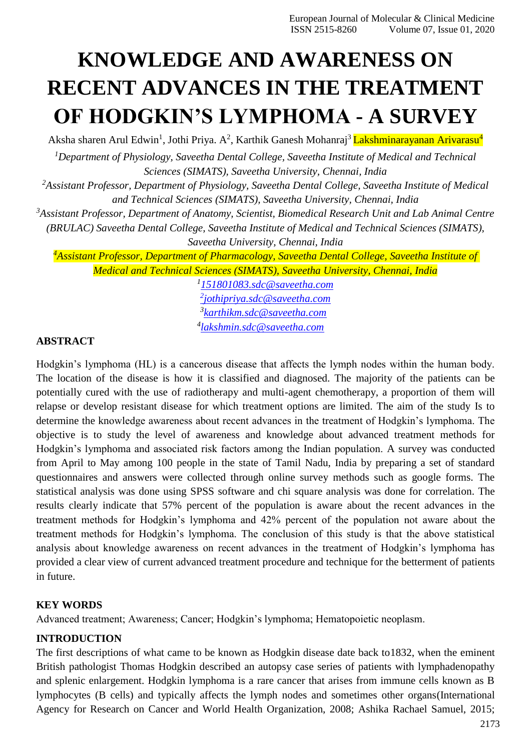# **KNOWLEDGE AND AWARENESS ON RECENT ADVANCES IN THE TREATMENT OF HODGKIN'S LYMPHOMA - A SURVEY**

Aksha sharen Arul Edwin<sup>1</sup>, Jothi Priya. A<sup>2</sup>, Karthik Ganesh Mohanraj<sup>3</sup> Lakshminarayanan Arivarasu<sup>4</sup>

*<sup>1</sup>Department of Physiology, Saveetha Dental College, Saveetha Institute of Medical and Technical Sciences (SIMATS), Saveetha University, Chennai, India*

*<sup>2</sup>Assistant Professor, Department of Physiology, Saveetha Dental College, Saveetha Institute of Medical and Technical Sciences (SIMATS), Saveetha University, Chennai, India*

*<sup>3</sup>Assistant Professor, Department of Anatomy, Scientist, Biomedical Research Unit and Lab Animal Centre (BRULAC) Saveetha Dental College, Saveetha Institute of Medical and Technical Sciences (SIMATS),* 

*Saveetha University, Chennai, India*

*<sup>4</sup>Assistant Professor, Department of Pharmacology, Saveetha Dental College, Saveetha Institute of Medical and Technical Sciences (SIMATS), Saveetha University, Chennai, India*

> *[151801083.sdc@saveetha.com](mailto:151801083.sdc@saveetha.com) [jothipriya.sdc@saveetha.com](mailto:2jothipriya.sdc@saveetha.com) [karthikm.sdc@saveetha.com](mailto:karthikm.sdc@saveetha.com) [lakshmin.sdc@saveetha.com](mailto:lakshmin.sdc@saveetha.com)*

# **ABSTRACT**

Hodgkin's lymphoma (HL) is a cancerous disease that affects the lymph nodes within the human body. The location of the disease is how it is classified and diagnosed. The majority of the patients can be potentially cured with the use of radiotherapy and multi-agent chemotherapy, a proportion of them will relapse or develop resistant disease for which treatment options are limited. The aim of the study Is to determine the knowledge awareness about recent advances in the treatment of Hodgkin's lymphoma. The objective is to study the level of awareness and knowledge about advanced treatment methods for Hodgkin's lymphoma and associated risk factors among the Indian population. A survey was conducted from April to May among 100 people in the state of Tamil Nadu, India by preparing a set of standard questionnaires and answers were collected through online survey methods such as google forms. The statistical analysis was done using SPSS software and chi square analysis was done for correlation. The results clearly indicate that 57% percent of the population is aware about the recent advances in the treatment methods for Hodgkin's lymphoma and 42% percent of the population not aware about the treatment methods for Hodgkin's lymphoma. The conclusion of this study is that the above statistical analysis about knowledge awareness on recent advances in the treatment of Hodgkin's lymphoma has provided a clear view of current advanced treatment procedure and technique for the betterment of patients in future.

# **KEY WORDS**

Advanced treatment; Awareness; Cancer; Hodgkin's lymphoma; Hematopoietic neoplasm.

# **INTRODUCTION**

The first descriptions of what came to be known as Hodgkin disease date back to1832, when the eminent British pathologist Thomas Hodgkin described an autopsy case series of patients with lymphadenopathy and splenic enlargement. Hodgkin lymphoma is a rare cancer that arises from immune cells known as B lymphocytes (B cells) and typically affects the lymph nodes and sometimes other organ[s\(International](https://paperpile.com/c/nZj2uL/QG6q%2B0v28%2BTeJS) [Agency for Research on Cancer and World Health Organization, 2008; Ashika Rachael Samuel, 2015;](https://paperpile.com/c/nZj2uL/QG6q%2B0v28%2BTeJS)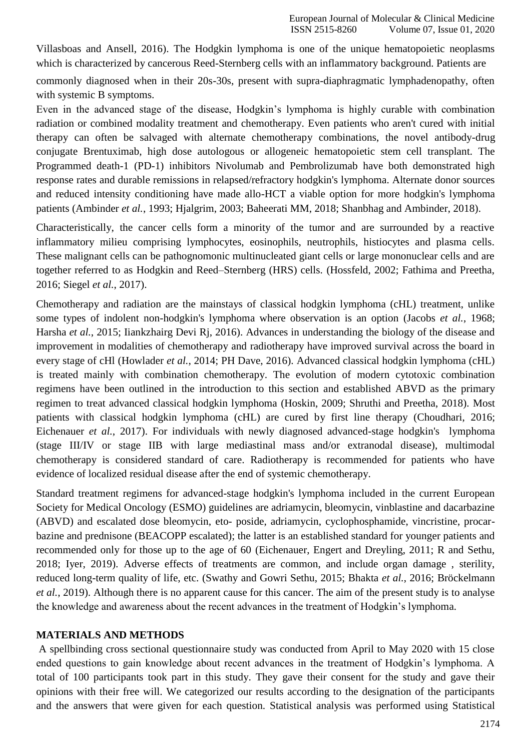[Villasboas and Ansell, 2016\).](https://paperpile.com/c/nZj2uL/QG6q%2B0v28%2BTeJS) The Hodgkin lymphoma is one of the unique hematopoietic neoplasms which is characterized by cancerous Reed-Sternberg cells with an inflammatory background. Patients are

commonly diagnosed when in their 20s-30s, present with supra-diaphragmatic lymphadenopathy, often with systemic B symptoms.

Even in the advanced stage of the disease, Hodgkin's lymphoma is highly curable with combination radiation or combined modality treatment and chemotherapy. Even patients who aren't cured with initial therapy can often be salvaged with alternate chemotherapy combinations, the novel antibody-drug conjugate Brentuximab, high dose autologous or allogeneic hematopoietic stem cell transplant. The Programmed death-1 (PD-1) inhibitors Nivolumab and Pembrolizumab have both demonstrated high response rates and durable remissions in relapsed/refractory hodgkin's lymphoma. Alternate donor sources and reduced intensity conditioning have made allo-HCT a viable option for more hodgkin's lymphoma patients (Ambinder *et al.*[, 1993; Hjalgrim, 2003; Baheerati MM, 2018; Shanbhag and Ambinder, 2018\).](https://paperpile.com/c/nZj2uL/BwU6%2B4gPd%2BbdWH%2BjSou)

Characteristically, the cancer cells form a minority of the tumor and are surrounded by a reactive inflammatory milieu comprising lymphocytes, eosinophils, neutrophils, histiocytes and plasma cells. These malignant cells can be pathognomonic multinucleated giant cells or large mononuclear cells and are together referred to as Hodgkin and Reed–Sternberg (HRS) cells. [\(Hossfeld, 2002; Fathima and Preetha,](https://paperpile.com/c/nZj2uL/7mbP%2B7aFH%2BUvP3) [2016; Siegel](https://paperpile.com/c/nZj2uL/7mbP%2B7aFH%2BUvP3) *et al.*, 2017).

Chemotherapy and radiation are the mainstays of classical hodgkin lymphoma (cHL) treatment, unlike some types of indolent non-hodgkin's lymphoma where observation is an option [\(Jacobs](https://paperpile.com/c/nZj2uL/EF7R%2ByhuT%2BQnAy) *et al.*, 1968; Harsha *et al.*[, 2015; Iiankzhairg Devi Rj, 2016\).](https://paperpile.com/c/nZj2uL/EF7R%2ByhuT%2BQnAy) Advances in understanding the biology of the disease and improvement in modalities of chemotherapy and radiotherapy have improved survival across the board in every stage of cHl (Howlader *et al.*[, 2014; PH Dave, 2016\). A](https://paperpile.com/c/nZj2uL/Qi06%2Btzet)dvanced classical hodgkin lymphoma (cHL) is treated mainly with combination chemotherapy. The evolution of modern cytotoxic combination regimens have been outlined in the introduction to this section and established ABVD as the primary regimen to treat advanced classical hodgkin lymphoma [\(Hoskin, 2009; Shruthi and Preetha, 2018\). M](https://paperpile.com/c/nZj2uL/pks0%2B0BvJ)ost patients with classical hodgkin lymphoma (cHL) are cured by first line therapy [\(Choudhari, 2016;](https://paperpile.com/c/nZj2uL/bFT4%2BnnVt) [Eichenauer](https://paperpile.com/c/nZj2uL/bFT4%2BnnVt) *et al.*, 2017). For individuals with newly diagnosed advanced-stage hodgkin's lymphoma (stage III/IV or stage IIB with large mediastinal mass and/or extranodal disease), multimodal chemotherapy is considered standard of care. Radiotherapy is recommended for patients who have evidence of localized residual disease after the end of systemic chemotherapy.

Standard treatment regimens for advanced-stage hodgkin's lymphoma included in the current European Society for Medical Oncology (ESMO) guidelines are adriamycin, bleomycin, vinblastine and dacarbazine (ABVD) and escalated dose bleomycin, eto- poside, adriamycin, cyclophosphamide, vincristine, procarbazine and prednisone (BEACOPP escalated); the latter is an established standard for younger patients and recommended only for those up to the age of 60 [\(Eichenauer, Engert and Dreyling, 2011; R and Sethu,](https://paperpile.com/c/nZj2uL/36uC%2BIRkJ%2BShWI) [2018; Iyer, 2019\).](https://paperpile.com/c/nZj2uL/36uC%2BIRkJ%2BShWI) Adverse effects of treatments are common, and include organ damage , sterility, reduced long-term quality of life, etc. [\(Swathy and Gowri Sethu, 2015; Bhakta](https://paperpile.com/c/nZj2uL/VyJH%2BeJk2%2BSJlq) *et al.*, 2016; Bröckelmann *et al.*[, 2019\). A](https://paperpile.com/c/nZj2uL/VyJH%2BeJk2%2BSJlq)lthough there is no apparent cause for this cancer. The aim of the present study is to analyse the knowledge and awareness about the recent advances in the treatment of Hodgkin's lymphoma.

# **MATERIALS AND METHODS**

A spellbinding cross sectional questionnaire study was conducted from April to May 2020 with 15 close ended questions to gain knowledge about recent advances in the treatment of Hodgkin's lymphoma. A total of 100 participants took part in this study. They gave their consent for the study and gave their opinions with their free will. We categorized our results according to the designation of the participants and the answers that were given for each question. Statistical analysis was performed using Statistical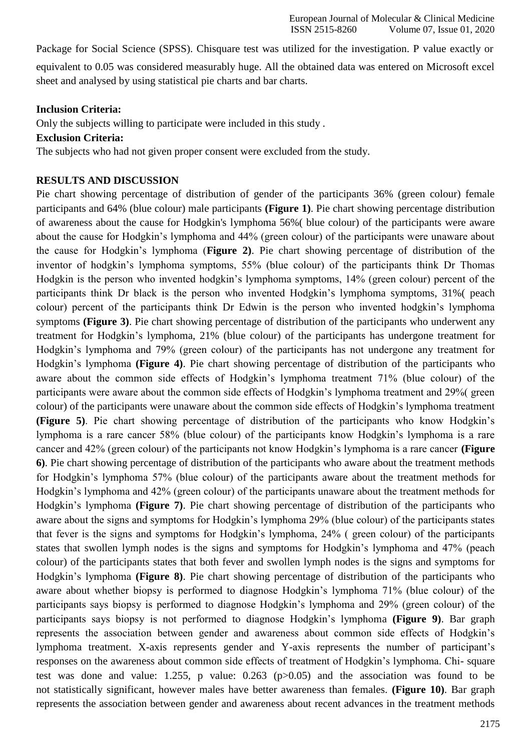Package for Social Science (SPSS). Chisquare test was utilized for the investigation. P value exactly or equivalent to 0.05 was considered measurably huge. All the obtained data was entered on Microsoft excel sheet and analysed by using statistical pie charts and bar charts.

## **Inclusion Criteria:**

Only the subjects willing to participate were included in this study .

## **Exclusion Criteria:**

The subjects who had not given proper consent were excluded from the study.

# **RESULTS AND DISCUSSION**

Pie chart showing percentage of distribution of gender of the participants 36% (green colour) female participants and 64% (blue colour) male participants **(Figure 1)**. Pie chart showing percentage distribution of awareness about the cause for Hodgkin's lymphoma 56%( blue colour) of the participants were aware about the cause for Hodgkin's lymphoma and 44% (green colour) of the participants were unaware about the cause for Hodgkin's lymphoma (**Figure 2)**. Pie chart showing percentage of distribution of the inventor of hodgkin's lymphoma symptoms, 55% (blue colour) of the participants think Dr Thomas Hodgkin is the person who invented hodgkin's lymphoma symptoms, 14% (green colour) percent of the participants think Dr black is the person who invented Hodgkin's lymphoma symptoms, 31%( peach colour) percent of the participants think Dr Edwin is the person who invented hodgkin's lymphoma symptoms **(Figure 3)**. Pie chart showing percentage of distribution of the participants who underwent any treatment for Hodgkin's lymphoma, 21% (blue colour) of the participants has undergone treatment for Hodgkin's lymphoma and 79% (green colour) of the participants has not undergone any treatment for Hodgkin's lymphoma **(Figure 4)**. Pie chart showing percentage of distribution of the participants who aware about the common side effects of Hodgkin's lymphoma treatment 71% (blue colour) of the participants were aware about the common side effects of Hodgkin's lymphoma treatment and 29%( green colour) of the participants were unaware about the common side effects of Hodgkin's lymphoma treatment **(Figure 5)**. Pie chart showing percentage of distribution of the participants who know Hodgkin's lymphoma is a rare cancer 58% (blue colour) of the participants know Hodgkin's lymphoma is a rare cancer and 42% (green colour) of the participants not know Hodgkin's lymphoma is a rare cancer **(Figure 6)**. Pie chart showing percentage of distribution of the participants who aware about the treatment methods for Hodgkin's lymphoma 57% (blue colour) of the participants aware about the treatment methods for Hodgkin's lymphoma and 42% (green colour) of the participants unaware about the treatment methods for Hodgkin's lymphoma **(Figure 7)**. Pie chart showing percentage of distribution of the participants who aware about the signs and symptoms for Hodgkin's lymphoma 29% (blue colour) of the participants states that fever is the signs and symptoms for Hodgkin's lymphoma, 24% ( green colour) of the participants states that swollen lymph nodes is the signs and symptoms for Hodgkin's lymphoma and 47% (peach colour) of the participants states that both fever and swollen lymph nodes is the signs and symptoms for Hodgkin's lymphoma **(Figure 8)**. Pie chart showing percentage of distribution of the participants who aware about whether biopsy is performed to diagnose Hodgkin's lymphoma 71% (blue colour) of the participants says biopsy is performed to diagnose Hodgkin's lymphoma and 29% (green colour) of the participants says biopsy is not performed to diagnose Hodgkin's lymphoma **(Figure 9)**. Bar graph represents the association between gender and awareness about common side effects of Hodgkin's lymphoma treatment. X-axis represents gender and Y-axis represents the number of participant's responses on the awareness about common side effects of treatment of Hodgkin's lymphoma. Chi- square test was done and value: 1.255, p value: 0.263 (p>0.05) and the association was found to be not statistically significant, however males have better awareness than females. **(Figure 10)**. Bar graph represents the association between gender and awareness about recent advances in the treatment methods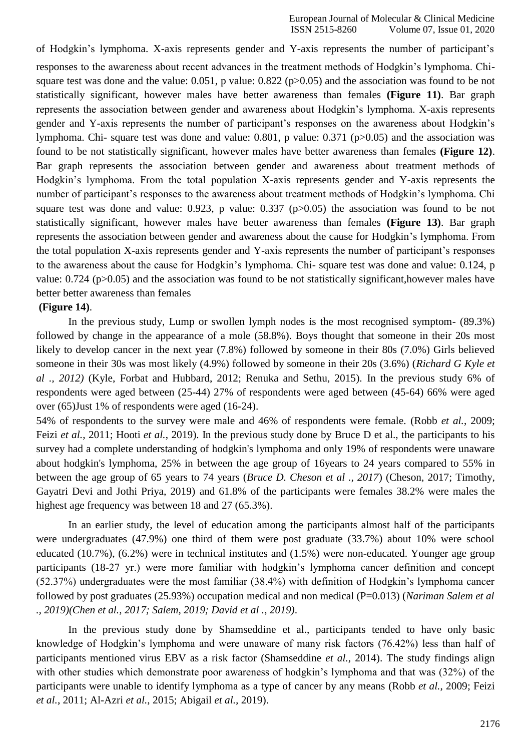of Hodgkin's lymphoma. X-axis represents gender and Y-axis represents the number of participant's responses to the awareness about recent advances in the treatment methods of Hodgkin's lymphoma. Chisquare test was done and the value: 0.051, p value: 0.822 (p>0.05) and the association was found to be not statistically significant, however males have better awareness than females **(Figure 11)**. Bar graph represents the association between gender and awareness about Hodgkin's lymphoma. X-axis represents gender and Y-axis represents the number of participant's responses on the awareness about Hodgkin's lymphoma. Chi- square test was done and value: 0.801, p value: 0.371 (p>0.05) and the association was found to be not statistically significant, however males have better awareness than females **(Figure 12)**. Bar graph represents the association between gender and awareness about treatment methods of Hodgkin's lymphoma. From the total population X-axis represents gender and Y-axis represents the number of participant's responses to the awareness about treatment methods of Hodgkin's lymphoma. Chi square test was done and value: 0.923, p value: 0.337 (p>0.05) the association was found to be not statistically significant, however males have better awareness than females **(Figure 13)**. Bar graph represents the association between gender and awareness about the cause for Hodgkin's lymphoma. From the total population X-axis represents gender and Y-axis represents the number of participant's responses to the awareness about the cause for Hodgkin's lymphoma. Chi- square test was done and value: 0.124, p value: 0.724 (p>0.05) and the association was found to be not statistically significant,however males have better better awareness than females

#### **(Figure 14)**.

In the previous study, Lump or swollen lymph nodes is the most recognised symptom- (89.3%) followed by change in the appearance of a mole (58.8%). Boys thought that someone in their 20s most likely to develop cancer in the next year (7.8%) followed by someone in their 80s (7.0%) Girls believed someone in their 30s was most likely (4.9%) followed by someone in their 20s (3.6%) (*Richard G Kyle et al ., 2012)* [\(Kyle, Forbat and Hubbard, 2012; Renuka and Sethu, 2015\).](https://paperpile.com/c/nZj2uL/PzWz%2Bub9y) In the previous study 6% of respondents were aged between (25-44) 27% of respondents were aged between (45-64) 66% were aged over (65)Just 1% of respondents were aged (16-24).

54% of respondents to the survey were male and 46% of respondents were female. [\(Robb](https://paperpile.com/c/nZj2uL/Tf0P%2BH4OU%2BEQ1t) *et al.*, 2009; Feizi *et al.*[, 2011; Hooti](https://paperpile.com/c/nZj2uL/Tf0P%2BH4OU%2BEQ1t) *et al.*, 2019). In the previous study done by Bruce D et al., the participants to his survey had a complete understanding of hodgkin's lymphoma and only 19% of respondents were unaware about hodgkin's lymphoma, 25% in between the age group of 16years to 24 years compared to 55% in between the age group of 65 years to 74 years (*Bruce D. Cheson et al ., 2017*) [\(Cheson, 2017; Timothy,](https://paperpile.com/c/nZj2uL/mDAe%2BAsXm) [Gayatri Devi and Jothi Priya, 2019\)](https://paperpile.com/c/nZj2uL/mDAe%2BAsXm) and 61.8% of the participants were females 38.2% were males the highest age frequency was between 18 and 27 (65.3%).

In an earlier study, the level of education among the participants almost half of the participants were undergraduates (47.9%) one third of them were post graduate (33.7%) about 10% were school educated (10.7%), (6.2%) were in technical institutes and (1.5%) were non-educated. Younger age group participants (18-27 yr.) were more familiar with hodgkin's lymphoma cancer definition and concept (52.37%) undergraduates were the most familiar (38.4%) with definition of Hodgkin's lymphoma cancer followed by post graduates (25.93%) occupation medical and non medical (P=0.013) (*Nariman Salem et al ., 2019[\)\(Chen et al., 2017; Salem, 2019; David et al ., 2019\)](https://paperpile.com/c/nZj2uL/u0k3%2B785N)*.

In the previous study done by Shamseddine et al., participants tended to have only basic knowledge of Hodgkin's lymphoma and were unaware of many risk factors (76.42%) less than half of participants mentioned virus EBV as a risk factor [\(Shamseddine](https://paperpile.com/c/nZj2uL/VzAc) *et al.*, 2014). The study findings align with other studies which demonstrate poor awareness of hodgkin's lymphoma and that was (32%) of the participants were unable to identify lymphoma as a type of cancer by any means (Robb *et al.*[, 2009; Feizi](https://paperpile.com/c/nZj2uL/lNeY%2BH4OU%2BTf0P) *et al.*[, 2011; Al-Azri](https://paperpile.com/c/nZj2uL/lNeY%2BH4OU%2BTf0P) *et al.*, 2015; Abigail *et al.,* 2019).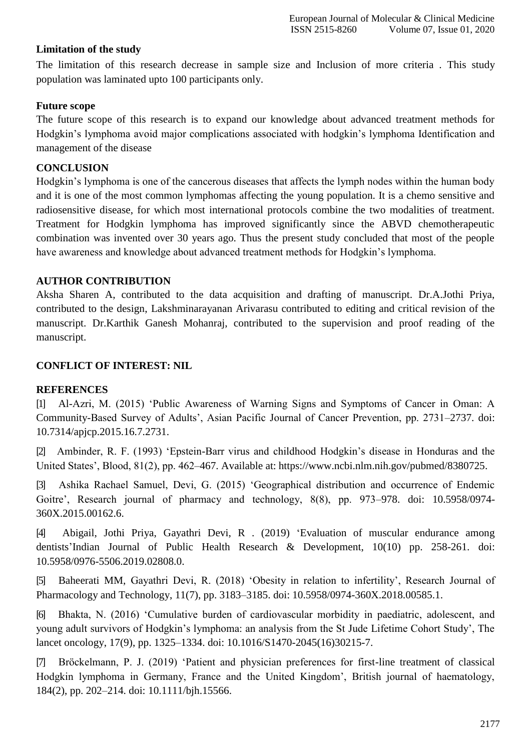## **Limitation of the study**

The limitation of this research decrease in sample size and Inclusion of more criteria . This study population was laminated upto 100 participants only.

## **Future scope**

The future scope of this research is to expand our knowledge about advanced treatment methods for Hodgkin's lymphoma avoid major complications associated with hodgkin's lymphoma Identification and management of the disease

## **CONCLUSION**

Hodgkin's lymphoma is one of the cancerous diseases that affects the lymph nodes within the human body and it is one of the most common lymphomas affecting the young population. It is a chemo sensitive and radiosensitive disease, for which most international protocols combine the two modalities of treatment. Treatment for Hodgkin lymphoma has improved significantly since the ABVD chemotherapeutic combination was invented over 30 years ago. Thus the present study concluded that most of the people have awareness and knowledge about advanced treatment methods for Hodgkin's lymphoma.

## **AUTHOR CONTRIBUTION**

Aksha Sharen A, contributed to the data acquisition and drafting of manuscript. Dr.A.Jothi Priya, contributed to the design, Lakshminarayanan Arivarasu contributed to editing and critical revision of the manuscript. Dr.Karthik Ganesh Mohanraj, contributed to the supervision and proof reading of the manuscript.

## **CONFLICT OF INTEREST: NIL**

## **REFERENCES**

[1] [Al-Azri, M. \(2015\) 'Public Awareness of Warning Signs and Symptoms of Cancer in Oman: A](http://paperpile.com/b/nZj2uL/lNeY) [Community-Based Survey of Adults', Asian Pacific Journal of Cancer Prevention, pp. 2731–2737. doi:](http://paperpile.com/b/nZj2uL/lNeY) [10.7314/apjcp.2015.16.7.2731.](http://dx.doi.org/10.7314/apjcp.2015.16.7.2731)

[2] Ambinder, R. F. (1993) 'Epstein-Barr virus and childhood Hodgkin's disease in Honduras and the United States', Blood, 81(2), pp. 462–467. Available at: [https://www.ncbi.nlm.nih.gov/pubmed/8380725.](https://www.ncbi.nlm.nih.gov/pubmed/8380725)

[3] [Ashika Rachael Samuel, Devi, G. \(2015\) 'Geographical distribution and occurrence of Endemic](http://paperpile.com/b/nZj2uL/TeJS) [Goitre', Research journal of pharmacy and technology, 8\(8\), pp. 973–978. doi:](http://paperpile.com/b/nZj2uL/TeJS) [10.5958/0974-](http://dx.doi.org/10.5958/0974-360X.2015.00162.6) [360X.2015.00162.6.](http://dx.doi.org/10.5958/0974-360X.2015.00162.6)

[4] [Abigail, Jothi Priya,](http://paperpile.com/b/nZj2uL/TeJS) [Gayathri Devi, R . \(2019\)](http://paperpile.com/b/nZj2uL/TeJS) ['E](http://paperpile.com/b/nZj2uL/TeJS)valuation of muscular endurance among dentist[s'Indian Journal of Public Health Research & Development, 10\(10\) pp. 258-2](http://paperpile.com/b/nZj2uL/TeJS)61. [doi:](http://paperpile.com/b/nZj2uL/TeJS) [10.5958/0976-5506.2019.02808.0](http://dx.doi.org/10.5958/0974-360X.2015.00162.6).

[5] [Baheerati MM, Gayathri Devi, R. \(2018\) 'Obesity in relation to infertility', Research Journal of](http://paperpile.com/b/nZj2uL/jSou) [Pharmacology and Technology, 11\(7\), pp. 3183–3185. doi:](http://paperpile.com/b/nZj2uL/jSou) [10.5958/0974-360X.2018.00585.1](http://paperpile.com/b/nZj2uL/jSou)[.](http://dx.doi.org/10.5958/0974-360X.2018.00585.1)

[6] [Bhakta, N. \(2016\) 'Cumulative burden of cardiovascular morbidity in paediatric, adolescent, and](http://paperpile.com/b/nZj2uL/eJk2) [young adult survivors of Hodgkin's lymphoma: an analysis from the St Jude Lifetime Cohort Study', The](http://paperpile.com/b/nZj2uL/eJk2) [lancet oncology, 17\(9\), pp. 1325–1334. doi:](http://paperpile.com/b/nZj2uL/eJk2) [10.1016/S1470-2045\(16\)30215-7.](http://paperpile.com/b/nZj2uL/eJk2)

[7] [Bröckelmann, P. J. \(2019\) 'Patient and physician preferences for first-line treatment of classical](http://paperpile.com/b/nZj2uL/SJlq) [Hodgkin lymphoma in Germany, France and the United Kingdom', British journal of haematology,](http://paperpile.com/b/nZj2uL/SJlq) [184\(2\), pp. 202–214. doi:](http://paperpile.com/b/nZj2uL/SJlq) [10.1111/bjh.15566.](http://paperpile.com/b/nZj2uL/SJlq)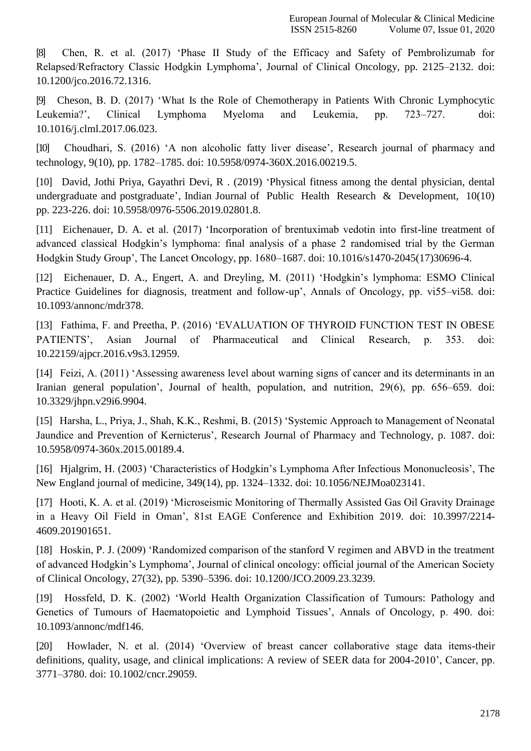[8] [Chen, R. et al. \(2017\) 'Phase II Study of the Efficacy and Safety of Pembrolizumab for](http://paperpile.com/b/nZj2uL/785N) [Relapsed/Refractory Classic Hodgkin Lymphoma', Journal of Clinical Oncology, pp. 2125–2132. doi:](http://paperpile.com/b/nZj2uL/785N) [10.1200/jco.2016.72.1316.](http://dx.doi.org/10.1200/jco.2016.72.1316)

[9] [Cheson, B. D. \(2017\) 'What Is the Role of Chemotherapy in Patients With Chronic Lymphocytic](http://paperpile.com/b/nZj2uL/AsXm) [Leukemia?', Clinical Lymphoma Myeloma and Leukemia, pp. 723–727. doi:](http://paperpile.com/b/nZj2uL/AsXm) [10.1016/j.clml.2017.06.023.](http://dx.doi.org/10.1016/j.clml.2017.06.023)

[10] [Choudhari, S. \(2016\) 'A non alcoholic fatty liver disease', Research journal of pharmacy and](http://paperpile.com/b/nZj2uL/bFT4) [technology, 9\(10\), pp. 1782–1785. doi:](http://paperpile.com/b/nZj2uL/bFT4) [10.5958/0974-360X.2016.00219.5](http://paperpile.com/b/nZj2uL/bFT4)[.](http://dx.doi.org/10.5958/0974-360X.2016.00219.5)

[10] David, [Jothi Priya, Gayathri Devi, R . \(2019\)](http://paperpile.com/b/nZj2uL/QnAy) ['P](http://paperpile.com/b/nZj2uL/jSou)hysical fitness among the dental physician, dental undergraduate and postgraduat[e',](http://paperpile.com/b/nZj2uL/bFT4) [Indian Journal of Public Health Research & Development, 10\(10\)](http://paperpile.com/b/nZj2uL/bFT4) [pp.](http://paperpile.com/b/nZj2uL/mDAe) 223-226. [doi:](http://paperpile.com/b/nZj2uL/TeJS) [10.5958/0976-5506.2019.02801.8](http://paperpile.com/b/nZj2uL/TeJS).

[11] [Eichenauer, D. A. et al. \(2017\) 'Incorporation of brentuximab vedotin into first-line treatment of](http://paperpile.com/b/nZj2uL/nnVt) [advanced classical Hodgkin's lymphoma: final analysis of a phase 2 randomised trial by the German](http://paperpile.com/b/nZj2uL/nnVt) [Hodgkin Study Group', The Lancet Oncology, pp. 1680–1687. doi:](http://paperpile.com/b/nZj2uL/nnVt) [10.1016/s1470-2045\(17\)30696-4.](http://paperpile.com/b/nZj2uL/nnVt)

[12] [Eichenauer, D. A., Engert, A. and Dreyling, M. \(2011\) 'Hodgkin's lymphoma: ESMO Clinical](http://paperpile.com/b/nZj2uL/36uC) [Practice Guidelines for diagnosis, treatment and follow-up', Annals of Oncology, pp. vi55–vi58. doi:](http://paperpile.com/b/nZj2uL/36uC) [10.1093/annonc/mdr378.](http://dx.doi.org/10.1093/annonc/mdr378)

[13] [Fathima, F. and Preetha, P. \(2016\) 'EVALUATION OF THYROID FUNCTION TEST IN OBESE](http://paperpile.com/b/nZj2uL/7mbP) [PATIENTS', Asian Journal of Pharmaceutical and Clinical Research, p. 353. doi:](http://paperpile.com/b/nZj2uL/7mbP) [10.22159/ajpcr.2016.v9s3.12959.](http://dx.doi.org/10.22159/ajpcr.2016.v9s3.12959)

[14] [Feizi, A. \(2011\) 'Assessing awareness level about warning signs of cancer and its determinants in an](http://paperpile.com/b/nZj2uL/Tf0P) [Iranian general population', Journal of health, population, and nutrition, 29\(6\), pp. 656–659. doi:](http://paperpile.com/b/nZj2uL/Tf0P) [10.3329/jhpn.v29i6.9904.](http://dx.doi.org/10.3329/jhpn.v29i6.9904)

[15] [Harsha, L., Priya, J., Shah, K.K., Reshmi, B. \(2015\) 'Systemic Approach to Management of Neonatal](http://paperpile.com/b/nZj2uL/QnAy) [Jaundice and Prevention of Kernicterus', Research Journal of Pharmacy and Technology, p. 1087. doi:](http://paperpile.com/b/nZj2uL/QnAy) [10.5958/0974-360x.2015.00189.4.](http://dx.doi.org/10.5958/0974-360x.2015.00189.4)

[16] [Hjalgrim, H. \(2003\) 'Characteristics of Hodgkin's Lymphoma After Infectious Mononucleosis', The](http://paperpile.com/b/nZj2uL/bdWH) [New England journal of medicine, 349\(14\), pp. 1324–1332. doi:](http://paperpile.com/b/nZj2uL/bdWH) [10.1056/NEJMoa023141](http://paperpile.com/b/nZj2uL/bdWH)[.](http://dx.doi.org/10.1056/NEJMoa023141)

[17] [Hooti, K. A. et al. \(2019\) 'Microseismic Monitoring of Thermally Assisted Gas Oil Gravity Drainage](http://paperpile.com/b/nZj2uL/EQ1t) [in a Heavy Oil Field in Oman', 81st EAGE Conference and Exhibition 2019. doi:](http://paperpile.com/b/nZj2uL/EQ1t) [10.3997/2214-](http://dx.doi.org/10.3997/2214-4609.201901651) [4609.201901651.](http://dx.doi.org/10.3997/2214-4609.201901651)

[18] [Hoskin, P. J. \(2009\) 'Randomized comparison of the stanford V regimen and ABVD in the treatment](http://paperpile.com/b/nZj2uL/pks0) [of advanced Hodgkin's Lymphoma', Journal of clinical oncology: official journal of the American Society](http://paperpile.com/b/nZj2uL/pks0) [of Clinical Oncology, 27\(32\), pp. 5390–5396. doi:](http://paperpile.com/b/nZj2uL/pks0) [10.1200/JCO.2009.23.3239.](http://paperpile.com/b/nZj2uL/pks0)

[19] [Hossfeld, D. K. \(2002\) 'World Health Organization Classification of Tumours: Pathology and](http://paperpile.com/b/nZj2uL/7aFH) [Genetics of Tumours of Haematopoietic and Lymphoid Tissues', Annals of Oncology, p. 490. doi:](http://paperpile.com/b/nZj2uL/7aFH) [10.1093/annonc/mdf146.](http://dx.doi.org/10.1093/annonc/mdf146)

[20] [Howlader, N. et al. \(2014\) 'Overview of breast cancer collaborative stage data items-their](http://paperpile.com/b/nZj2uL/tzet) [definitions, quality, usage, and clinical implications: A review of SEER data for 2004-2010', Cancer, pp.](http://paperpile.com/b/nZj2uL/tzet) [3771–3780. doi:](http://paperpile.com/b/nZj2uL/tzet) [10.1002/cncr.29059.](http://paperpile.com/b/nZj2uL/tzet)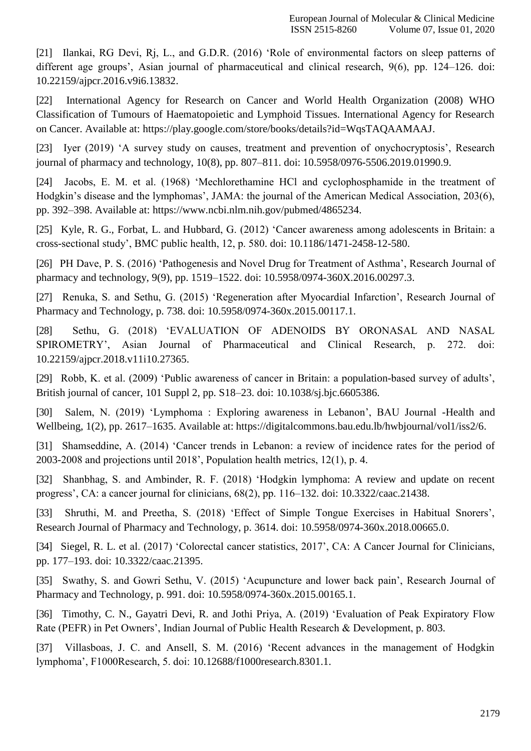[21] Ilanka[i, RG Devi, Rj, L., and G.D.R. \(2016\) 'Role of environmental factors on sleep patterns of](http://paperpile.com/b/nZj2uL/yhuT) [different age groups', Asian journal of pharmaceutical and clinical research, 9\(6\), pp. 124–126. doi:](http://paperpile.com/b/nZj2uL/yhuT) [10.22159/ajpcr.2016.v9i6.13832.](http://dx.doi.org/10.22159/ajpcr.2016.v9i6.13832)

[22] International Agency for Research on Cancer and World Health Organization (2008) WHO Classification of Tumours of Haematopoietic and Lymphoid Tissues. International Agency for Research on Cancer. Available at: https://play.google.com/store/books/details?id=WqsTAQAAMAA[J.](http://paperpile.com/b/nZj2uL/0v28)

[23] [Iyer \(2019\) 'A survey study on causes, treatment and prevention of](http://paperpile.com/b/nZj2uL/IRkJ) onychocryptosis', Researc[h](http://paperpile.com/b/nZj2uL/IRkJ) [journal of pharmacy and technology, 10\(8\), pp. 807–811. doi:](http://paperpile.com/b/nZj2uL/IRkJ) [10.5958/0976-5506.2019.01990.9](http://paperpile.com/b/nZj2uL/IRkJ)[.](http://dx.doi.org/10.5958/0976-5506.2019.01990.9)

[24] Jacobs, E. M. et al. (1968) 'Mechlorethamine HCl and cyclophosphamide in the treatment of Hodgkin's disease and the lymphomas', JAMA: the journal of the American Medical Association, 203(6), pp. 392–398. Available at: https:[//www.ncbi.nlm.nih.gov/pubmed/4865234.](http://www.ncbi.nlm.nih.gov/pubmed/4865234)

[25] [Kyle, R. G., Forbat, L. and Hubbard, G. \(2012\) 'Cancer awareness among adolescents in Britain: a](http://paperpile.com/b/nZj2uL/ub9y) [cross-sectional study', BMC public health, 12, p. 580. doi:](http://paperpile.com/b/nZj2uL/ub9y) [10.1186/1471-2458-12-580.](http://paperpile.com/b/nZj2uL/ub9y)

[26] [PH Dave, P. S. \(2016\) 'Pathogenesis and Novel Drug for Treatment of Asthma', Research Journal of](http://paperpile.com/b/nZj2uL/Qi06) [pharmacy and technology, 9\(9\), pp. 1519–1522. doi:](http://paperpile.com/b/nZj2uL/Qi06) [10.5958/0974-360X.2016.00297.3](http://paperpile.com/b/nZj2uL/Qi06)[.](http://dx.doi.org/10.5958/0974-360X.2016.00297.3)

[27] [Renuka, S. and Sethu, G. \(2015\) 'Regeneration after Myocardial Infarction', Research Journal of](http://paperpile.com/b/nZj2uL/PzWz) [Pharmacy and Technology, p. 738. doi:](http://paperpile.com/b/nZj2uL/PzWz) [10.5958/0974-360x.2015.00117.1](http://paperpile.com/b/nZj2uL/PzWz)[.](http://dx.doi.org/10.5958/0974-360x.2015.00117.1)

[28] [Sethu, G. \(2018\) 'EVALUATION OF ADENOIDS BY ORONASAL AND NASAL](http://paperpile.com/b/nZj2uL/ShWI) [SPIROMETRY', Asian Journal of Pharmaceutical and Clinical Research, p. 272. doi:](http://paperpile.com/b/nZj2uL/ShWI) [10.22159/ajpcr.2018.v11i10.27365.](http://dx.doi.org/10.22159/ajpcr.2018.v11i10.27365)

[29] [Robb, K. et al. \(2009\) 'Public awareness of cancer in Britain: a population-based survey of adults',](http://paperpile.com/b/nZj2uL/H4OU) [British journal of cancer, 101 Suppl 2, pp. S18–23. doi:](http://paperpile.com/b/nZj2uL/H4OU) [10.1038/sj.bjc.6605386](http://paperpile.com/b/nZj2uL/H4OU)[.](http://dx.doi.org/10.1038/sj.bjc.6605386)

[30] Salem, N. (2019) 'Lymphoma : Exploring awareness in Lebanon', BAU Journal -Health and Wellbeing, 1(2), pp. 2617–1635. Available at: [https://digitalcommons.bau.edu.lb/hwbjournal/vol1/iss2/6.](https://digitalcommons.bau.edu.lb/hwbjournal/vol1/iss2/6)

[31] [Shamseddine, A. \(2014\) 'Cancer trends in Lebanon: a review of incidence rates for the period of](http://paperpile.com/b/nZj2uL/VzAc) [2003-2008 and projections until 2018', Population health metrics, 12\(1\), p.](http://paperpile.com/b/nZj2uL/VzAc) 4.

[32] [Shanbhag, S. and Ambinder, R. F. \(2018\) 'Hodgkin lymphoma: A review and update on recent](http://paperpile.com/b/nZj2uL/BwU6) [progress', CA: a cancer journal for clinicians, 68\(2\), pp. 116–132. doi:](http://paperpile.com/b/nZj2uL/BwU6) [10.3322/caac.21438.](http://paperpile.com/b/nZj2uL/BwU6)

[33] [Shruthi, M. and Preetha, S. \(2018\) 'Effect of Simple Tongue Exercises in Habitual Snorers',](http://paperpile.com/b/nZj2uL/0BvJ) [Research Journal of Pharmacy and Technology, p. 3614. doi:](http://paperpile.com/b/nZj2uL/0BvJ) [10.5958/0974-360x.2018.00665.0](http://paperpile.com/b/nZj2uL/0BvJ)[.](http://dx.doi.org/10.5958/0974-360x.2018.00665.0)

[34] [Siegel, R. L. et al. \(2017\) 'Colorectal cancer statistics, 2017', CA: A Cancer Journal for Clinicians,](http://paperpile.com/b/nZj2uL/UvP3) [pp. 177–193. doi:](http://paperpile.com/b/nZj2uL/UvP3) [10.3322/caac.21395](http://paperpile.com/b/nZj2uL/UvP3)[.](http://dx.doi.org/10.3322/caac.21395)

[35] [Swathy, S. and Gowri Sethu, V. \(2015\) 'Acupuncture and lower back pain', Research Journal of](http://paperpile.com/b/nZj2uL/VyJH) [Pharmacy and Technology, p. 991. doi:](http://paperpile.com/b/nZj2uL/VyJH) [10.5958/0974-360x.2015.00165.1](http://paperpile.com/b/nZj2uL/VyJH)[.](http://dx.doi.org/10.5958/0974-360x.2015.00165.1)

[36] [Timothy, C. N., Gayatri Devi, R. and Jothi Priya, A. \(2019\) 'Evaluation of Peak Expiratory Flow](http://paperpile.com/b/nZj2uL/mDAe) [Rate \(PEFR\) in Pet Owners', Indian Journal of Public Health Research & Development, p.](http://paperpile.com/b/nZj2uL/mDAe) 803.

[37] [Villasboas, J. C. and Ansell, S. M. \(2016\) 'Recent advances in the management of Hodgkin](http://paperpile.com/b/nZj2uL/QG6q) [lymphoma', F1000Research, 5. doi:](http://paperpile.com/b/nZj2uL/QG6q) [10.12688/f1000research.8301.1](http://paperpile.com/b/nZj2uL/QG6q)[.](http://dx.doi.org/10.12688/f1000research.8301.1)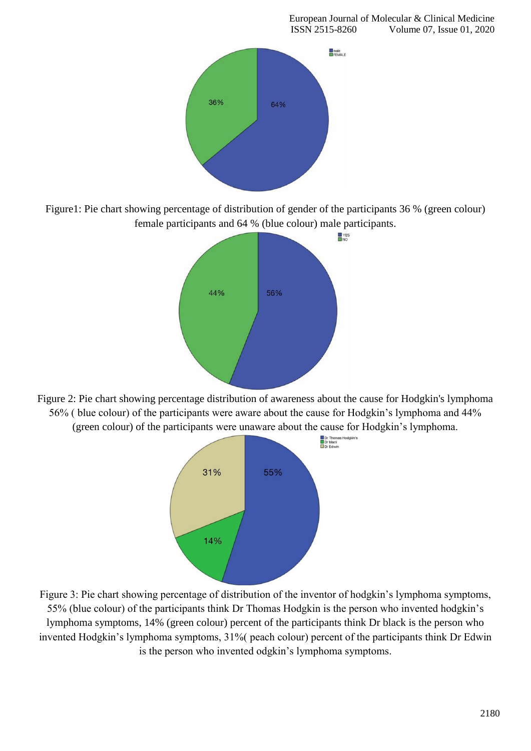

Figure1: Pie chart showing percentage of distribution of gender of the participants 36 % (green colour) female participants and 64 % (blue colour) male participants.



Figure 2: Pie chart showing percentage distribution of awareness about the cause for Hodgkin's lymphoma 56% ( blue colour) of the participants were aware about the cause for Hodgkin's lymphoma and 44% (green colour) of the participants were unaware about the cause for Hodgkin's lymphoma.<br>  $\frac{1}{\text{De Eddwth}}$ 



Figure 3: Pie chart showing percentage of distribution of the inventor of hodgkin's lymphoma symptoms, 55% (blue colour) of the participants think Dr Thomas Hodgkin is the person who invented hodgkin's lymphoma symptoms, 14% (green colour) percent of the participants think Dr black is the person who invented Hodgkin's lymphoma symptoms, 31%( peach colour) percent of the participants think Dr Edwin is the person who invented odgkin's lymphoma symptoms.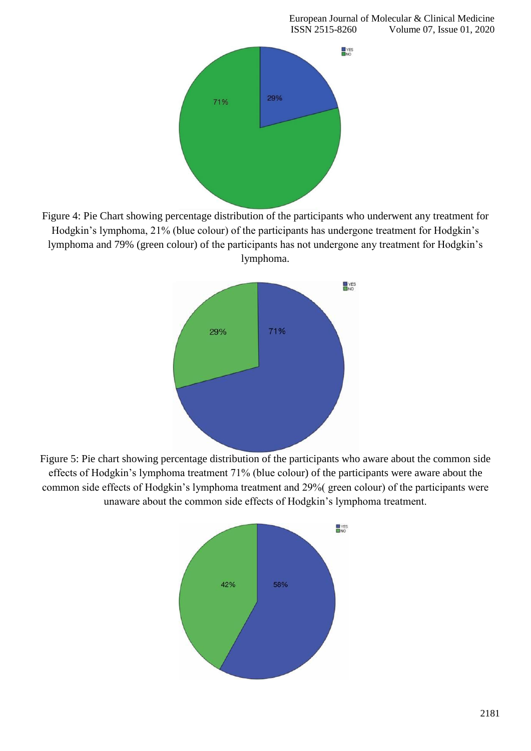

Figure 4: Pie Chart showing percentage distribution of the participants who underwent any treatment for Hodgkin's lymphoma, 21% (blue colour) of the participants has undergone treatment for Hodgkin's lymphoma and 79% (green colour) of the participants has not undergone any treatment for Hodgkin's lymphoma.



Figure 5: Pie chart showing percentage distribution of the participants who aware about the common side effects of Hodgkin's lymphoma treatment 71% (blue colour) of the participants were aware about the common side effects of Hodgkin's lymphoma treatment and 29%( green colour) of the participants were unaware about the common side effects of Hodgkin's lymphoma treatment.

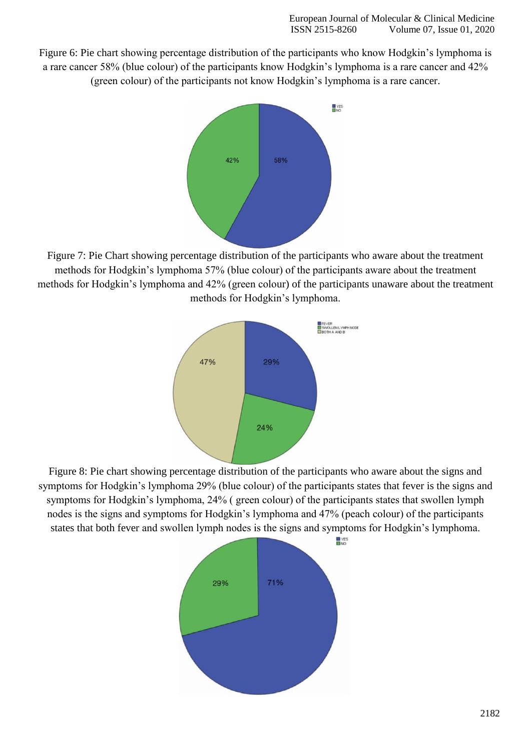Figure 6: Pie chart showing percentage distribution of the participants who know Hodgkin's lymphoma is a rare cancer 58% (blue colour) of the participants know Hodgkin's lymphoma is a rare cancer and 42% (green colour) of the participants not know Hodgkin's lymphoma is a rare cancer.



Figure 7: Pie Chart showing percentage distribution of the participants who aware about the treatment methods for Hodgkin's lymphoma 57% (blue colour) of the participants aware about the treatment methods for Hodgkin's lymphoma and 42% (green colour) of the participants unaware about the treatment methods for Hodgkin's lymphoma.



Figure 8: Pie chart showing percentage distribution of the participants who aware about the signs and symptoms for Hodgkin's lymphoma 29% (blue colour) of the participants states that fever is the signs and symptoms for Hodgkin's lymphoma, 24% ( green colour) of the participants states that swollen lymph nodes is the signs and symptoms for Hodgkin's lymphoma and 47% (peach colour) of the participants states that both fever and swollen lymph nodes is the signs and symptoms for Hodgkin's lymphoma.

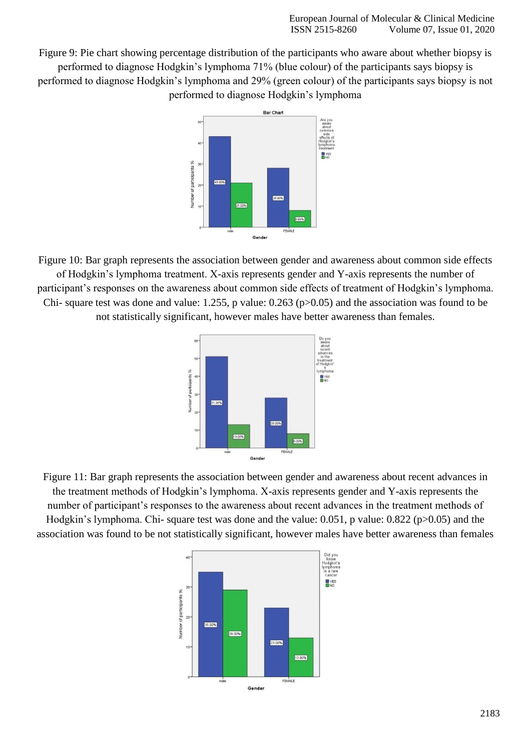Figure 9: Pie chart showing percentage distribution of the participants who aware about whether biopsy is performed to diagnose Hodgkin's lymphoma 71% (blue colour) of the participants says biopsy is performed to diagnose Hodgkin's lymphoma and 29% (green colour) of the participants says biopsy is not performed to diagnose Hodgkin's lymphoma



Figure 10: Bar graph represents the association between gender and awareness about common side effects of Hodgkin's lymphoma treatment. X-axis represents gender and Y-axis represents the number of participant's responses on the awareness about common side effects of treatment of Hodgkin's lymphoma. Chi- square test was done and value: 1.255, p value: 0.263 (p>0.05) and the association was found to be not statistically significant, however males have better awareness than females.



Figure 11: Bar graph represents the association between gender and awareness about recent advances in the treatment methods of Hodgkin's lymphoma. X-axis represents gender and Y-axis represents the number of participant's responses to the awareness about recent advances in the treatment methods of Hodgkin's lymphoma. Chi- square test was done and the value: 0.051, p value: 0.822 (p>0.05) and the association was found to be not statistically significant, however males have better awareness than females